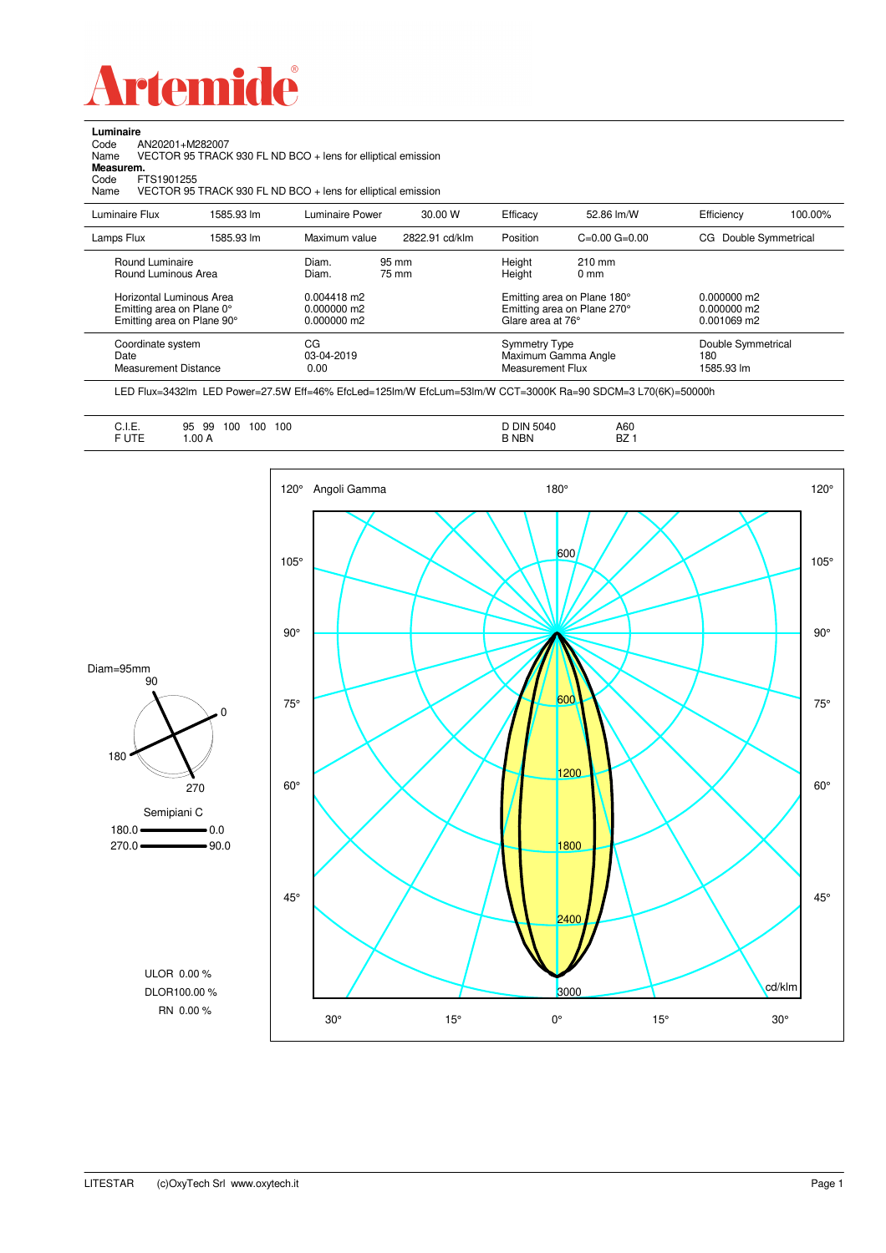

Code AN20201+M282007

**Luminaire**

J.

| Name<br>Measurem.<br>FTS1901255<br>Code<br>Name                                     |            | VECTOR 95 TRACK 930 FL ND BCO + lens for elliptical emission<br>VECTOR 95 TRACK 930 FL ND BCO + lens for elliptical emission |                |                                                 |                                                            |                                           |         |
|-------------------------------------------------------------------------------------|------------|------------------------------------------------------------------------------------------------------------------------------|----------------|-------------------------------------------------|------------------------------------------------------------|-------------------------------------------|---------|
| Luminaire Flux                                                                      | 1585.93 lm | Luminaire Power                                                                                                              | 30.00 W        | Efficacy                                        | 52.86 lm/W                                                 | Efficiency                                | 100.00% |
| Lamps Flux                                                                          | 1585.93 lm | Maximum value                                                                                                                | 2822.91 cd/klm | Position                                        | $C=0.00$ $G=0.00$                                          | CG Double Symmetrical                     |         |
| Round Luminaire<br>Round Luminous Area                                              |            | Diam.<br>Diam.                                                                                                               | 95 mm<br>75 mm | Height<br>Height                                | $210 \text{ mm}$<br>$0 \text{ mm}$                         |                                           |         |
| Horizontal Luminous Area<br>Emitting area on Plane 0°<br>Emitting area on Plane 90° |            | 0.004418 m2<br>0.000000 m2<br>0.000000 m2                                                                                    |                | Glare area at 76°                               | Emitting area on Plane 180°<br>Emitting area on Plane 270° | 0.000000 m2<br>0.000000 m2<br>0.001069 m2 |         |
| Coordinate system<br>Date<br><b>Measurement Distance</b>                            |            | CG<br>03-04-2019<br>0.00                                                                                                     |                | <b>Symmetry Type</b><br><b>Measurement Flux</b> | Maximum Gamma Angle                                        | Double Symmetrical<br>180<br>1585.93 lm   |         |

LED Flux=3432lm LED Power=27.5W Eff=46% EfcLed=125lm/W EfcLum=53lm/W CCT=3000K Ra=90 SDCM=3 L70(6K)=50000h

|--|--|